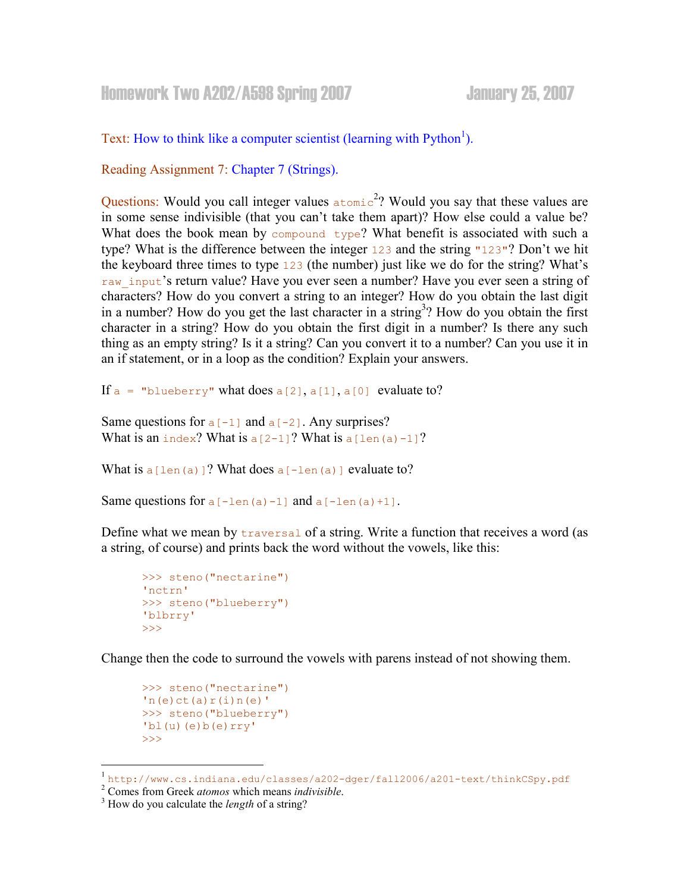## Homework Two A202/A598 Spring 2007 January 25, 2007

Text: How to think like a computer scientist (learning with  $Python<sup>1</sup>$ ).

Reading Assignment 7: Chapter 7 (Strings).

Questions: Would you call integer values  $\alpha$  atomic<sup>2</sup>? Would you say that these values are in some sense indivisible (that you can't take them apart)? How else could a value be? What does the book mean by compound type? What benefit is associated with such a type? What is the difference between the integer 123 and the string "123"? Don't we hit the keyboard three times to type 123 (the number) just like we do for the string? What's raw input's return value? Have you ever seen a number? Have you ever seen a string of characters? How do you convert a string to an integer? How do you obtain the last digit in a number? How do you get the last character in a string<sup>3</sup>? How do you obtain the first character in a string? How do you obtain the first digit in a number? Is there any such thing as an empty string? Is it a string? Can you convert it to a number? Can you use it in an if statement, or in a loop as the condition? Explain your answers.

If  $a =$  "blueberry" what does  $a[2]$ ,  $a[1]$ ,  $a[0]$  evaluate to?

Same questions for  $a[-1]$  and  $a[-2]$ . Any surprises? What is an index? What is  $a[2-1]$ ? What is  $a[len(a)-1]$ ?

What is  $a[len(a)]$ ? What does  $a[-len(a)]$  evaluate to?

Same questions for  $a[-len(a)-1]$  and  $a[-len(a)+1]$ .

Define what we mean by traversal of a string. Write a function that receives a word (as a string, of course) and prints back the word without the vowels, like this:

```
>>> steno("nectarine") 
'nctrn'
>>> steno("blueberry") 
'blbrry' 
>>>
```
Change then the code to surround the vowels with parens instead of not showing them.

```
>>> steno("nectarine") 
'n(e)ct(a)r(i)n(e)>>> steno("blueberry") 
'bl(u)(e)b(e)rry'
>>>
```
-

<sup>1</sup> http://www.cs.indiana.edu/classes/a202-dger/fall2006/a201-text/thinkCSpy.pdf

 $2^2$  Comes from Greek *atomos* which means *indivisible*.

 $3$  How do you calculate the *length* of a string?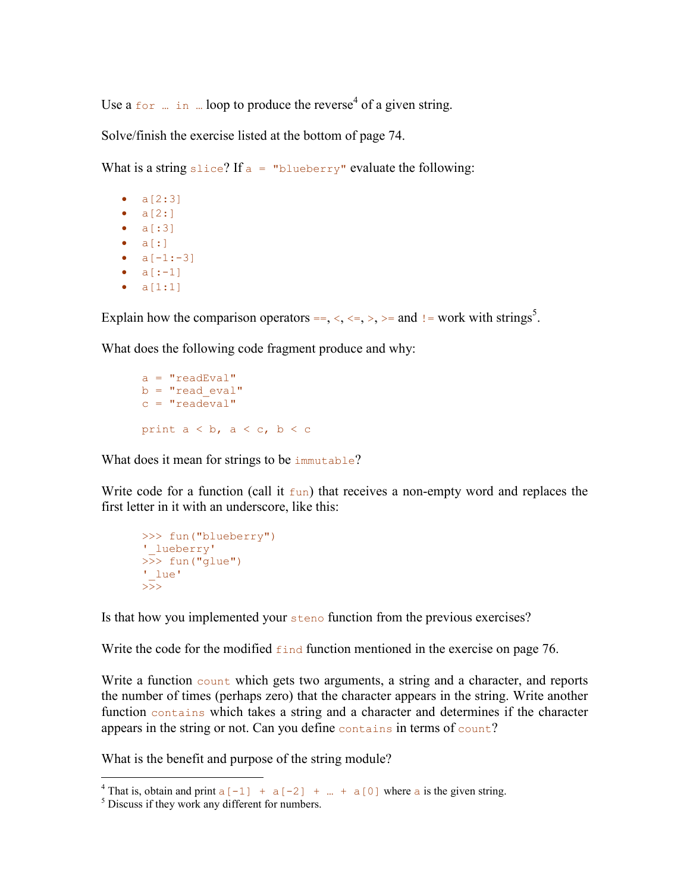Use a  $f \circ r$  ... in ... loop to produce the reverse<sup>4</sup> of a given string.

Solve/finish the exercise listed at the bottom of page 74.

What is a string slice? If  $a =$  "blueberry" evaluate the following:

- $a[2:3]$ •  $a[2:]$ • a[:3]  $\bullet$  a[:] •  $a[-1:-3]$ •  $a[-1]$ •  $a[1:1]$
- 

Explain how the comparison operators  $==, \langle, \langle=, \rangle$ ,  $>=$  and  $!=$  work with strings<sup>5</sup>.

What does the following code fragment produce and why:

 $a = "readEval"$  $b = "read eval"$  $c = "readeval"$ print  $a < b$ ,  $a < c$ ,  $b < c$ 

What does it mean for strings to be immutable?

Write code for a function (call it  $f$ un) that receives a non-empty word and replaces the first letter in it with an underscore, like this:

```
>>> fun("blueberry") 
' lueberry'
>> fun("glue")
'_lue' 
>
```
Is that how you implemented your steno function from the previous exercises?

Write the code for the modified  $f$  and function mentioned in the exercise on page 76.

Write a function count which gets two arguments, a string and a character, and reports the number of times (perhaps zero) that the character appears in the string. Write another function contains which takes a string and a character and determines if the character appears in the string or not. Can you define contains in terms of count?

What is the benefit and purpose of the string module?

<sup>&</sup>lt;sup>4</sup> That is, obtain and print  $a[-1]$  +  $a[-2]$  + ... +  $a[0]$  where a is the given string.

<sup>5</sup> Discuss if they work any different for numbers.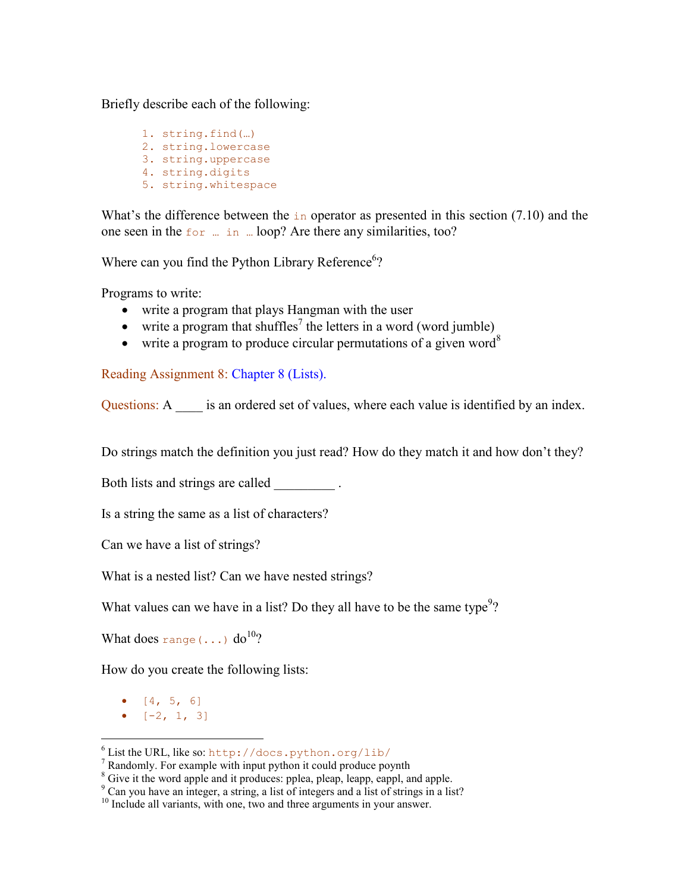Briefly describe each of the following:

1. string.find(…) 2. string.lowercase 3. string.uppercase 4. string.digits 5. string.whitespace

What's the difference between the  $\pm n$  operator as presented in this section (7.10) and the one seen in the  $f$ <sub>or</sub>  $\ldots$  in  $\ldots$  loop? Are there any similarities, too?

Where can you find the Python Library Reference<sup>6</sup>?

Programs to write:

- write a program that plays Hangman with the user
- $\bullet$  write a program that shuffles<sup>7</sup> the letters in a word (word jumble)
- write a program to produce circular permutations of a given word<sup>8</sup>

Reading Assignment 8: Chapter 8 (Lists).

Questions: A \_\_\_\_ is an ordered set of values, where each value is identified by an index.

Do strings match the definition you just read? How do they match it and how don't they?

Both lists and strings are called  $\qquad \qquad$ .

Is a string the same as a list of characters?

Can we have a list of strings?

What is a nested list? Can we have nested strings?

What values can we have in a list? Do they all have to be the same type<sup>9</sup>?

What does range  $(\ldots)$  do<sup>10</sup>?

How do you create the following lists:

•  $[4, 5, 6]$ 

-

•  $[-2, 1, 3]$ 

<sup>6</sup> List the URL, like so: http://docs.python.org/lib/

 $7$  Randomly. For example with input python it could produce poynth

<sup>&</sup>lt;sup>8</sup> Give it the word apple and it produces: pplea, pleap, leapp, eappl, and apple.

<sup>9</sup> Can you have an integer, a string, a list of integers and a list of strings in a list?

 $10$  Include all variants, with one, two and three arguments in your answer.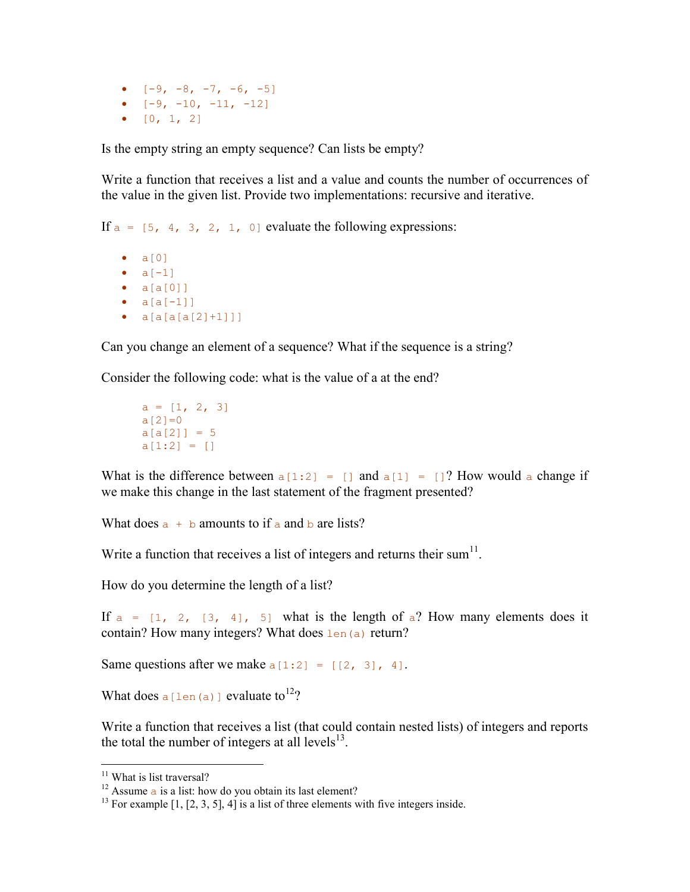•  $[-9, -8, -7, -6, -5]$ •  $[-9, -10, -11, -12]$ •  $[0, 1, 2]$ 

Is the empty string an empty sequence? Can lists be empty?

Write a function that receives a list and a value and counts the number of occurrences of the value in the given list. Provide two implementations: recursive and iterative.

If  $a = \begin{bmatrix} 5, 4, 3, 2, 1, 0 \end{bmatrix}$  evaluate the following expressions:

 $\bullet$   $a[0]$ •  $a[-1]$  $\bullet$  a[a[0]] •  $a[a[-1]]$ •  $a[a[a[2]+1]]]$ 

Can you change an element of a sequence? What if the sequence is a string?

Consider the following code: what is the value of a at the end?

```
a = [1, 2, 3]a[2]=0a[a[2]] = 5a[1:2] = []
```
What is the difference between  $a[1:2] = [ ]$  and  $a[1] = [ ]$ ? How would a change if we make this change in the last statement of the fragment presented?

What does  $a + b$  amounts to if a and b are lists?

Write a function that receives a list of integers and returns their sum $<sup>11</sup>$ .</sup>

How do you determine the length of a list?

If  $a = \begin{bmatrix} 1 \\ 2 \\ 1 \end{bmatrix}$ ,  $\begin{bmatrix} 3 \\ 4 \end{bmatrix}$ ,  $\begin{bmatrix} 5 \\ 5 \end{bmatrix}$  what is the length of  $a$ ? How many elements does it contain? How many integers? What does  $l_{en}(a)$  return?

Same questions after we make  $a[1:2] = [2, 3], 4$ .

What does a [len(a)] evaluate to<sup>12</sup>?

Write a function that receives a list (that could contain nested lists) of integers and reports the total the number of integers at all levels $^{13}$ .

<sup>-</sup><sup>11</sup> What is list traversal?

<sup>&</sup>lt;sup>12</sup> Assume a is a list: how do you obtain its last element?

<sup>&</sup>lt;sup>13</sup> For example  $[1, [2, 3, 5], 4]$  is a list of three elements with five integers inside.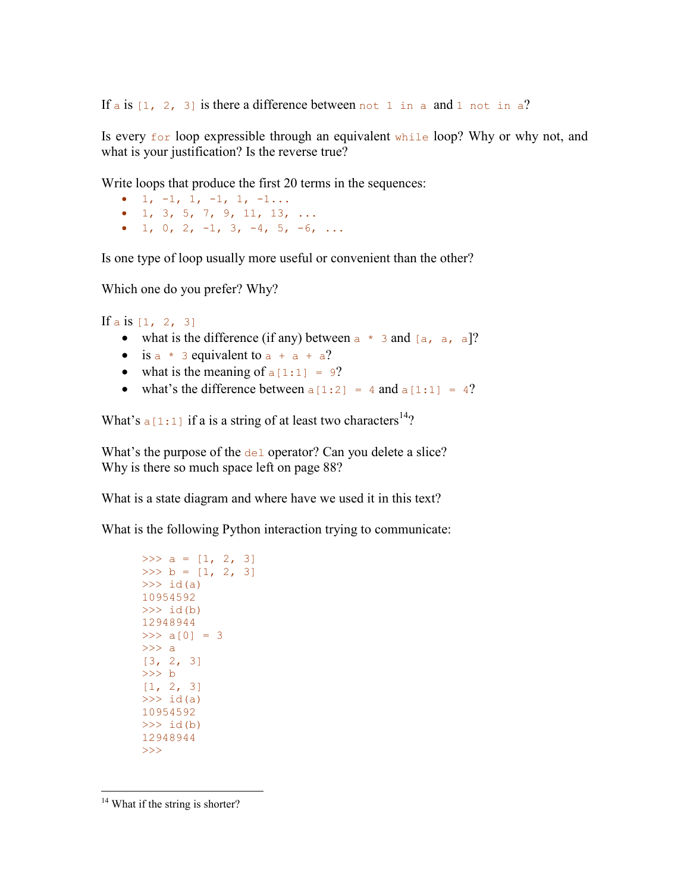If a is  $[1, 2, 3]$  is there a difference between not 1 in a and 1 not in a?

Is every  $f \circ r$  loop expressible through an equivalent while loop? Why or why not, and what is your justification? Is the reverse true?

Write loops that produce the first 20 terms in the sequences:

- $1, -1, 1, -1, 1, -1...$
- 1, 3, 5, 7, 9, 11, 13, ...
- 1, 0, 2,  $-1$ , 3,  $-4$ , 5,  $-6$ , ...

Is one type of loop usually more useful or convenient than the other?

Which one do you prefer? Why?

If a is  $[1, 2, 3]$ 

- what is the difference (if any) between  $a * 3$  and  $[a, a, a]$ ?
- is  $a * 3$  equivalent to  $a + a + a$ ?
- what is the meaning of  $a[1:1] = 9$ ?
- what's the difference between  $a[1:2] = 4$  and  $a[1:1] = 4$ ?

What's  $a[1:1]$  if a is a string of at least two characters<sup>14</sup>?

What's the purpose of the del operator? Can you delete a slice? Why is there so much space left on page 88?

What is a state diagram and where have we used it in this text?

What is the following Python interaction trying to communicate:

```
>>> a = [1, 2, 3]>> b = [1, 2, 3]\gg id(a)
10954592 
\gg id(b)
12948944 
>> a[0] = 3
>>> a 
[3, 2, 3] 
>>> b 
[1, 2, 3]\gg id(a)
10954592 
\gg id(b)
12948944 
>>>
```
<u>.</u>

<sup>&</sup>lt;sup>14</sup> What if the string is shorter?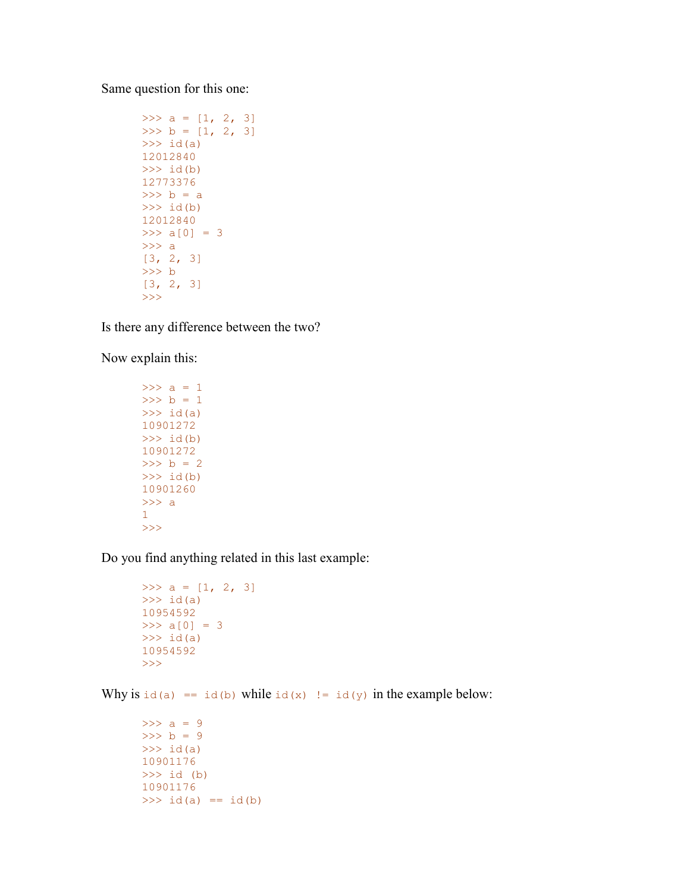Same question for this one:

```
>>> a = [1, 2, 3]>>b = [1, 2, 3]\gg id(a)
12012840 
\gg id(b)
12773376 
>> b = a
\gg id(b)
12012840 
>> a[0] = 3
>>> a 
[3, 2, 3]>>> b 
[3, 2, 3] 
>>>
```
Is there any difference between the two?

Now explain this:

```
>> a = 1
>> b = 1
\gg id(a)
10901272 
\gg id(b)
10901272 
>>b = 2\gg id(b)
10901260 
>> a
1 
>>>
```
Do you find anything related in this last example:

```
>>> a = [1, 2, 3]\gg id(a)
10954592 
>> a[0] = 3\gg id(a)
10954592 
>>>
```
Why is  $id(a) == id(b)$  while  $id(x) != id(y)$  in the example below:

```
>> a = 9
>> b = 9
\gg id(a)
10901176 
>>> id (b) 
10901176 
>>> id(a) == id(b)
```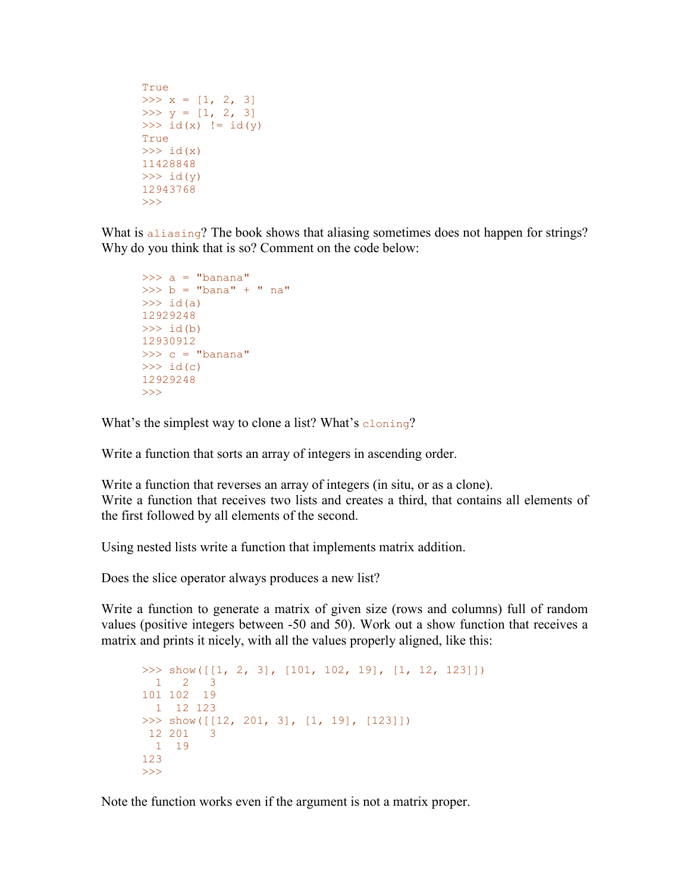```
True 
>>> x = [1, 2, 3]>>> y = [1, 2, 3]>>> id(x) != id(y)True 
\gg id(x)
11428848 
\gg id(y)
12943768 
>>>
```
What is aliasing? The book shows that aliasing sometimes does not happen for strings? Why do you think that is so? Comment on the code below:

```
\gg a = "banana"
>> b = "bana" + " na"
\gg id(a)
12929248 
\gg id(b)
12930912 
>> c = "banana"\gg id(c)
12929248 
>>>
```
What's the simplest way to clone a list? What's  $\epsilon$ loning?

Write a function that sorts an array of integers in ascending order.

Write a function that reverses an array of integers (in situ, or as a clone). Write a function that receives two lists and creates a third, that contains all elements of the first followed by all elements of the second.

Using nested lists write a function that implements matrix addition.

Does the slice operator always produces a new list?

Write a function to generate a matrix of given size (rows and columns) full of random values (positive integers between -50 and 50). Work out a show function that receives a matrix and prints it nicely, with all the values properly aligned, like this:

```
>>> show([[1, 2, 3], [101, 102, 19], [1, 12, 123]])
  1 2 3 
101 102 19 
  1 12 123 
\gg show([[12, 201, 3], [1, 19], [123]])
 12 201 3 
 1 19 
123 
>>>
```
Note the function works even if the argument is not a matrix proper.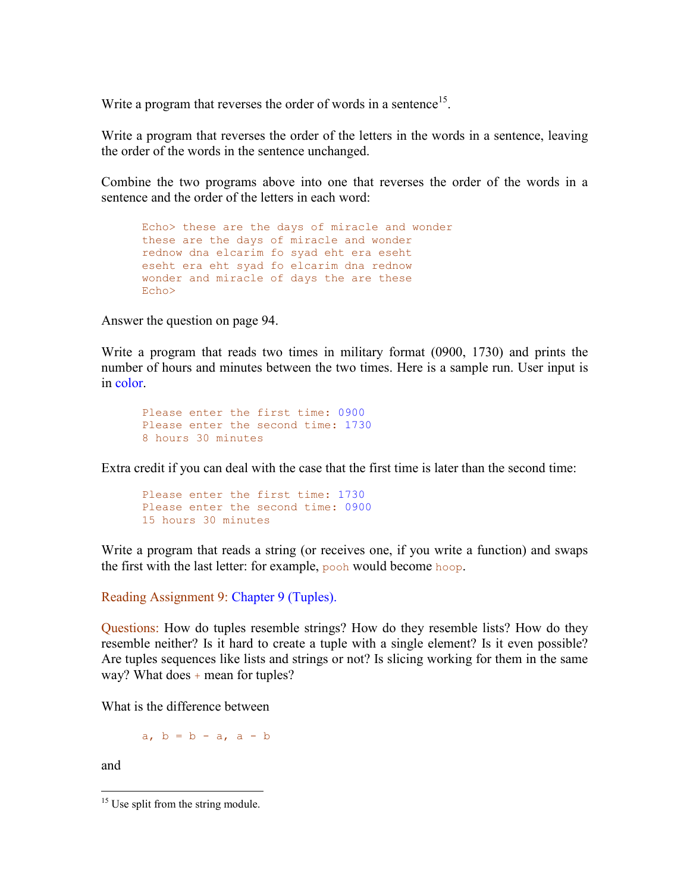Write a program that reverses the order of words in a sentence<sup>15</sup>.

Write a program that reverses the order of the letters in the words in a sentence, leaving the order of the words in the sentence unchanged.

Combine the two programs above into one that reverses the order of the words in a sentence and the order of the letters in each word:

Echo> these are the days of miracle and wonder these are the days of miracle and wonder rednow dna elcarim fo syad eht era eseht eseht era eht syad fo elcarim dna rednow wonder and miracle of days the are these Echo>

Answer the question on page 94.

Write a program that reads two times in military format (0900, 1730) and prints the number of hours and minutes between the two times. Here is a sample run. User input is in color.

```
Please enter the first time: 0900
Please enter the second time: 1730
8 hours 30 minutes
```
Extra credit if you can deal with the case that the first time is later than the second time:

```
Please enter the first time: 1730
Please enter the second time: 0900
15 hours 30 minutes
```
Write a program that reads a string (or receives one, if you write a function) and swaps the first with the last letter: for example, pooh would become hoop.

Reading Assignment 9: Chapter 9 (Tuples).

Questions: How do tuples resemble strings? How do they resemble lists? How do they resemble neither? Is it hard to create a tuple with a single element? Is it even possible? Are tuples sequences like lists and strings or not? Is slicing working for them in the same way? What does  $+$  mean for tuples?

What is the difference between

a,  $b = b - a$ ,  $a - b$ 

and

<sup>&</sup>lt;u>.</u> <sup>15</sup> Use split from the string module.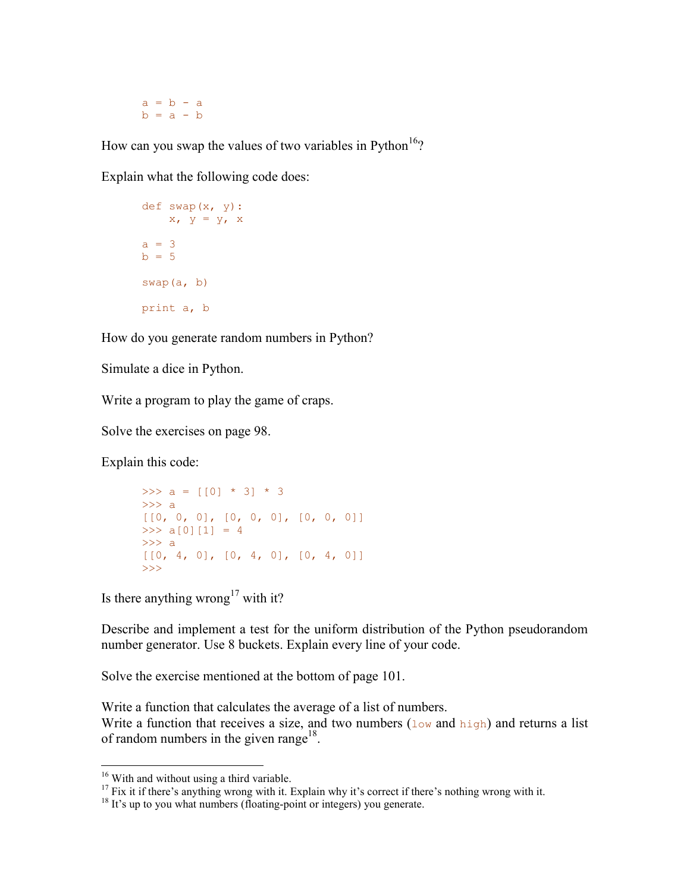$a = b - a$  $b = a - b$ 

How can you swap the values of two variables in Python<sup>16</sup>?

Explain what the following code does:

```
def swap(x, y): 
   x, y = y, xa = 3h = 5swap(a, b) 
print a, b
```
How do you generate random numbers in Python?

Simulate a dice in Python.

Write a program to play the game of craps.

Solve the exercises on page 98.

Explain this code:

```
>>> a = \lceil \lceil 0 \rceil \rceil * 3] * 3
\gg a
[[0, 0, 0], [0, 0, 0], [0, 0, 0]] 
>> a[0][1] = 4
>>> a 
[0, 4, 0], [0, 4, 0], [0, 4, 0]\rightarrow
```
Is there anything wrong<sup>17</sup> with it?

Describe and implement a test for the uniform distribution of the Python pseudorandom number generator. Use 8 buckets. Explain every line of your code.

Solve the exercise mentioned at the bottom of page 101.

Write a function that calculates the average of a list of numbers. Write a function that receives a size, and two numbers  $(\log \theta)$  and high) and returns a list of random numbers in the given range<sup>18</sup>.

<u>.</u>

<sup>&</sup>lt;sup>16</sup> With and without using a third variable.

 $17$  Fix it if there's anything wrong with it. Explain why it's correct if there's nothing wrong with it.

 $18$  It's up to you what numbers (floating-point or integers) you generate.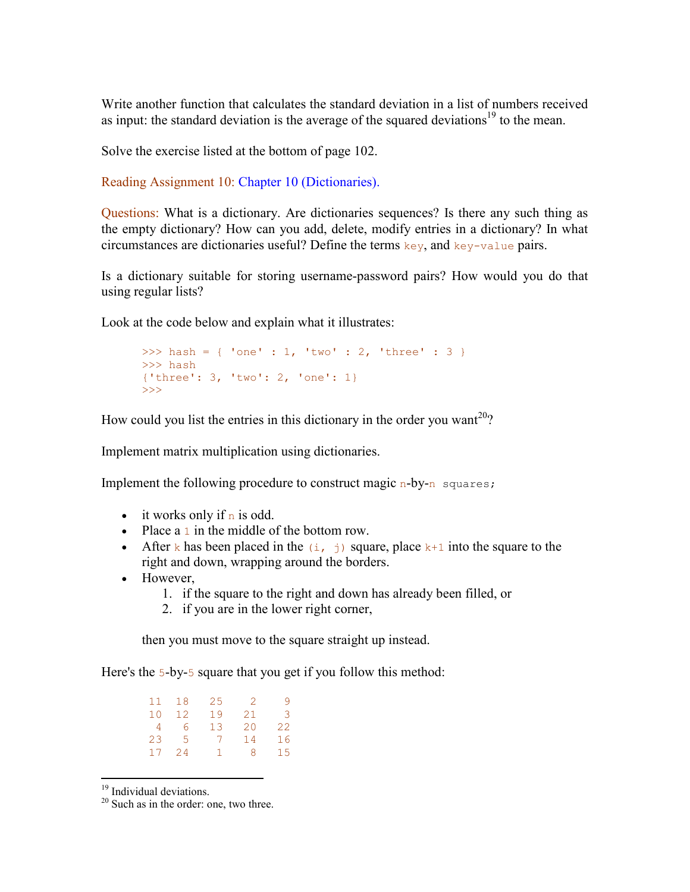Write another function that calculates the standard deviation in a list of numbers received as input: the standard deviation is the average of the squared deviations<sup>19</sup> to the mean.

Solve the exercise listed at the bottom of page 102.

Reading Assignment 10: Chapter 10 (Dictionaries).

Questions: What is a dictionary. Are dictionaries sequences? Is there any such thing as the empty dictionary? How can you add, delete, modify entries in a dictionary? In what circumstances are dictionaries useful? Define the terms  $\text{key}$ , and  $\text{key-value}$  pairs.

Is a dictionary suitable for storing username-password pairs? How would you do that using regular lists?

Look at the code below and explain what it illustrates:

```
>>> hash = { 'one' : 1, 'two' : 2, 'three' : 3 }
>>> hash 
{'three': 3, 'two': 2, 'one': 1} 
>>>
```
How could you list the entries in this dictionary in the order you want<sup>20</sup>?

Implement matrix multiplication using dictionaries.

Implement the following procedure to construct magic n-by-n squares;

- it works only if  $n$  is odd.
- Place a 1 in the middle of the bottom row.
- After k has been placed in the  $(i, j)$  square, place k+1 into the square to the right and down, wrapping around the borders.
- However,
	- 1. if the square to the right and down has already been filled, or
	- 2. if you are in the lower right corner,

then you must move to the square straight up instead.

Here's the 5-by-5 square that you get if you follow this method:

| 11 | 18 | 25 | -2. | q  |
|----|----|----|-----|----|
| 10 | 12 | 19 | 21  | 3  |
| 4  | 6  | 13 | 20  | 22 |
| 23 | -5 | 7  | 14  | 16 |
| 17 | 24 | Т. | 8   | 15 |
|    |    |    |     |    |

<sup>&</sup>lt;sup>19</sup> Individual deviations.

-

 $20$  Such as in the order: one, two three.